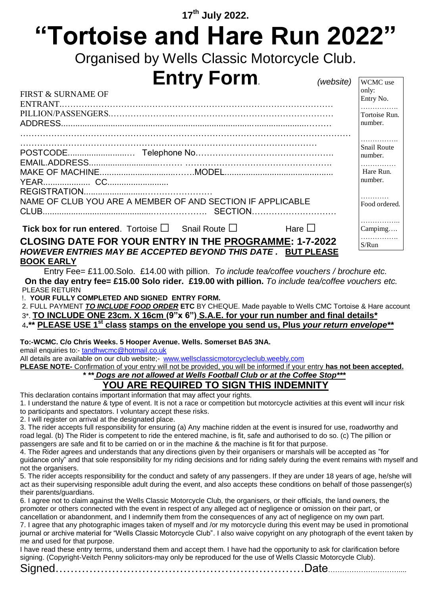# **17 th July 2022. "Tortoise and Hare Run 2022"**

Organised by Wells Classic Motorcycle Club.

 $(website)$  WCMC use

## **Entry Form**

| <b>FIRST &amp; SURNAME OF</b>                                                                                                 | only:<br>Entry No.            |
|-------------------------------------------------------------------------------------------------------------------------------|-------------------------------|
|                                                                                                                               | Tortoise Run.<br>number.      |
|                                                                                                                               | <b>Snail Route</b><br>number. |
|                                                                                                                               | Hare Run.<br>number.          |
| NAME OF CLUB YOU ARE A MEMBER OF AND SECTION IF APPLICABLE                                                                    | .<br>Food ordered.            |
| <b>Tick box for run entered.</b> Tortoise $\square$ Snail Route $\square$<br>Hare $\square$                                   | Campimg                       |
| <b>CLOSING DATE FOR YOUR ENTRY IN THE PROGRAMME: 1-7-2022</b><br>HOWEVER ENTRIES MAY BE ACCEPTED BEYOND THIS DATE, BUT PLEASE | .<br>S/Run                    |

### **BOOK EARLY**

Entry Fee= £11.00.Solo. £14.00 with pillion. *To include tea/coffee vouchers / brochure etc.* **On the day entry fee= £15.00 Solo rider. £19.00 with pillion.** *To include tea/coffee vouchers etc.* PLEASE RETURN

!. **YOUR FULLY COMPLETED AND SIGNED ENTRY FORM.** 

2. FULL PAYMENT *TO INCLUDE FOOD ORDER* **ETC** BY CHEQUE. Made payable to Wells CMC Tortoise & Hare account

3\*. **TO INCLUDE ONE 23cm. X 16cm (9"x 6") S.A.E. for your run number and final details\***

<sup>4</sup>**.\*\* PLEASE USE 1st class stamps on the envelope you send us, Plus** *your return envelope\*\**

**To:-WCMC. C/o Chris Weeks. 5 Hooper Avenue. Wells. Somerset BA5 3NA.**

email enquiries to:- [tandhwcmc@hotmail.co.uk](mailto:tandhwcmc@hotmail.co.uk)

All details are available on our club website;- [www.wellsclassicmotorcycleclub.weebly.com](http://www.wellsclassicmotorcycleclub.weebly.com/)

**PLEASE NOTE-** Confirmation of your entry will not be provided, you will be informed if your entry **has not been accepted.**

 *\* \*\* Dogs are not allowed at Wells Football Club or at the Coffee Stop\*\*\**

## **YOU ARE REQUIRED TO SIGN THIS INDEMNITY**

This declaration contains important information that may affect your rights.

1. I understand the nature & type of event. It is not a race or competition but motorcycle activities at this event will incur risk to participants and spectators. I voluntary accept these risks.

2. I will register on arrival at the designated place.

3. The rider accepts full responsibility for ensuring (a) Any machine ridden at the event is insured for use, roadworthy and road legal. (b) The Rider is competent to ride the entered machine, is fit, safe and authorised to do so. (c) The pillion or passengers are safe and fit to be carried on or in the machine & the machine is fit for that purpose.

4. The Rider agrees and understands that any directions given by their organisers or marshals will be accepted as "for guidance only" and that sole responsibility for my riding decisions and for riding safely during the event remains with myself and not the organisers.

5. The rider accepts responsibility for the conduct and safety of any passengers. If they are under 18 years of age, he/she will act as their supervising responsible adult during the event, and also accepts these conditions on behalf of those passenger(s) their parents/guardians.

6. I agree not to claim against the Wells Classic Motorcycle Club, the organisers, or their officials, the land owners, the promoter or others connected with the event in respect of any alleged act of negligence or omission on their part, or cancellation or abandonment, and I indemnify them from the consequences of any act of negligence on my own part.

7. I agree that any photographic images taken of myself and /or my motorcycle during this event may be used in promotional journal or archive material for "Wells Classic Motorcycle Club". I also waive copyright on any photograph of the event taken by me and used for that purpose.

I have read these entry terms, understand them and accept them. I have had the opportunity to ask for clarification before signing. (Copyright-Veitch Penny solicitors-may only be reproduced for the use of Wells Classic Motorcycle Club).

Signed…………………………………………………………Date…………………………....